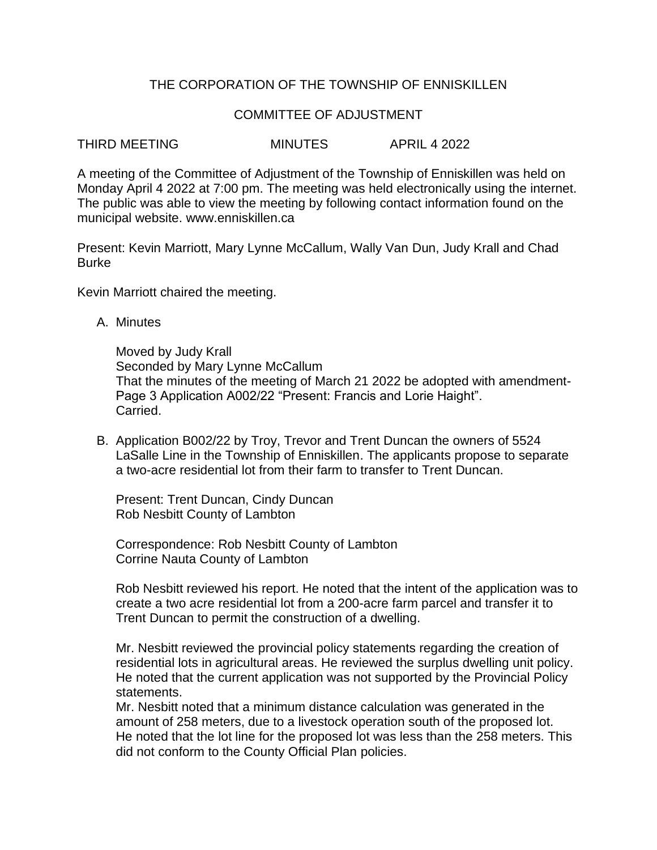## THE CORPORATION OF THE TOWNSHIP OF ENNISKILLEN

## COMMITTEE OF ADJUSTMENT

THIRD MEETING MINUTES APRIL 4 2022

A meeting of the Committee of Adjustment of the Township of Enniskillen was held on Monday April 4 2022 at 7:00 pm. The meeting was held electronically using the internet. The public was able to view the meeting by following contact information found on the municipal website. www.enniskillen.ca

Present: Kevin Marriott, Mary Lynne McCallum, Wally Van Dun, Judy Krall and Chad Burke

Kevin Marriott chaired the meeting.

A. Minutes

Moved by Judy Krall Seconded by Mary Lynne McCallum That the minutes of the meeting of March 21 2022 be adopted with amendment-Page 3 Application A002/22 "Present: Francis and Lorie Haight". Carried.

B. Application B002/22 by Troy, Trevor and Trent Duncan the owners of 5524 LaSalle Line in the Township of Enniskillen. The applicants propose to separate a two-acre residential lot from their farm to transfer to Trent Duncan.

Present: Trent Duncan, Cindy Duncan Rob Nesbitt County of Lambton

Correspondence: Rob Nesbitt County of Lambton Corrine Nauta County of Lambton

Rob Nesbitt reviewed his report. He noted that the intent of the application was to create a two acre residential lot from a 200-acre farm parcel and transfer it to Trent Duncan to permit the construction of a dwelling.

Mr. Nesbitt reviewed the provincial policy statements regarding the creation of residential lots in agricultural areas. He reviewed the surplus dwelling unit policy. He noted that the current application was not supported by the Provincial Policy statements.

Mr. Nesbitt noted that a minimum distance calculation was generated in the amount of 258 meters, due to a livestock operation south of the proposed lot. He noted that the lot line for the proposed lot was less than the 258 meters. This did not conform to the County Official Plan policies.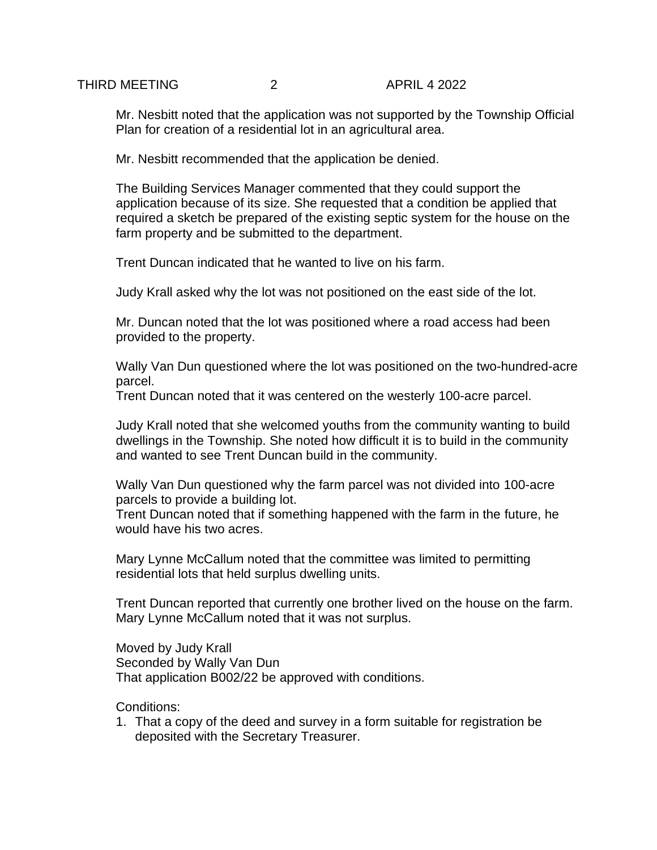Mr. Nesbitt noted that the application was not supported by the Township Official Plan for creation of a residential lot in an agricultural area.

Mr. Nesbitt recommended that the application be denied.

The Building Services Manager commented that they could support the application because of its size. She requested that a condition be applied that required a sketch be prepared of the existing septic system for the house on the farm property and be submitted to the department.

Trent Duncan indicated that he wanted to live on his farm.

Judy Krall asked why the lot was not positioned on the east side of the lot.

Mr. Duncan noted that the lot was positioned where a road access had been provided to the property.

Wally Van Dun questioned where the lot was positioned on the two-hundred-acre parcel.

Trent Duncan noted that it was centered on the westerly 100-acre parcel.

Judy Krall noted that she welcomed youths from the community wanting to build dwellings in the Township. She noted how difficult it is to build in the community and wanted to see Trent Duncan build in the community.

Wally Van Dun questioned why the farm parcel was not divided into 100-acre parcels to provide a building lot.

Trent Duncan noted that if something happened with the farm in the future, he would have his two acres.

Mary Lynne McCallum noted that the committee was limited to permitting residential lots that held surplus dwelling units.

Trent Duncan reported that currently one brother lived on the house on the farm. Mary Lynne McCallum noted that it was not surplus.

Moved by Judy Krall Seconded by Wally Van Dun That application B002/22 be approved with conditions.

Conditions:

1. That a copy of the deed and survey in a form suitable for registration be deposited with the Secretary Treasurer.